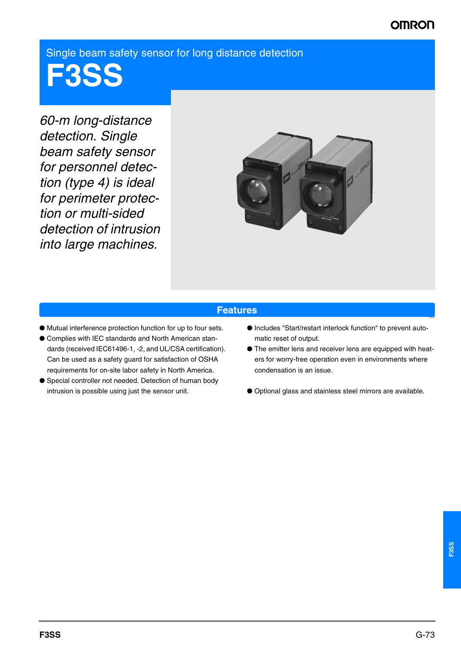# **OMRO**

Single beam safety sensor for long distance detection

**F3SS**

*60-m long-distance detection. Single beam safety sensor for personnel detection (type 4) is ideal for perimeter protection or multi-sided detection of intrusion into large machines.*



#### **Features**

- Mutual interference protection function for up to four sets.
- Complies with IEC standards and North American standards (received IEC61496-1, -2, and UL/CSA certification). Can be used as a safety guard for satisfaction of OSHA requirements for on-site labor safety in North America.
- Special controller not needed. Detection of human body intrusion is possible using just the sensor unit.
- Includes "Start/restart interlock function" to prevent automatic reset of output.
- The emitter lens and receiver lens are equipped with heaters for worry-free operation even in environments where condensation is an issue.
- Optional glass and stainless steel mirrors are available.

Features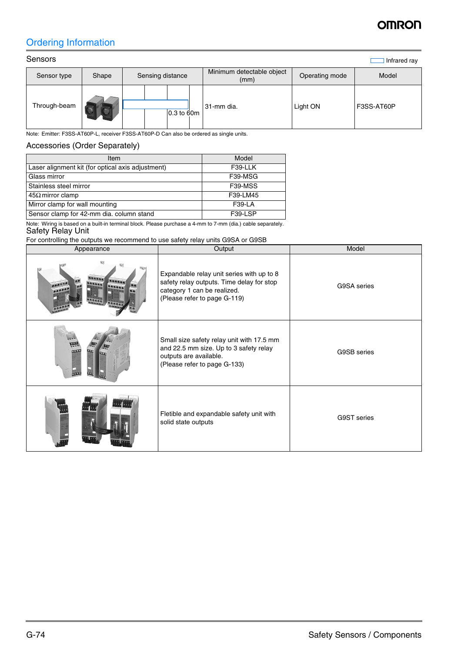# OMRON

## Ordering Information

| Sensors      |       |  |                  |                                   |                | Infrared ray |
|--------------|-------|--|------------------|-----------------------------------|----------------|--------------|
| Sensor type  | Shape |  | Sensing distance | Minimum detectable object<br>(mm) | Operating mode | Model        |
| Through-beam |       |  | 0.3 to 60m       | 31-mm dia.                        | Light ON       | F3SS-AT60P   |

Note: Emitter: F3SS-AT60P-L, receiver F3SS-AT60P-D Can also be ordered as single units.

## Accessories (Order Separately)

| Item                                              | Model         |
|---------------------------------------------------|---------------|
| Laser alignment kit (for optical axis adjustment) | F39-LLK       |
| Glass mirror                                      | F39-MSG       |
| Stainless steel mirror                            | F39-MSS       |
| $45\Omega$ mirror clamp                           | F39-LM45      |
| Mirror clamp for wall mounting                    | <b>F39-LA</b> |
| Sensor clamp for 42-mm dia. column stand          | F39-LSP       |

Note: Wiring is based on a built-in terminal block. Please purchase a 4-mm to 7-mm (dia.) cable separately. Safety Relay Unit

| For controlling the outputs we recommend to use safety relay units G9SA or G9SB |                                                                                                                                                       |             |  |  |
|---------------------------------------------------------------------------------|-------------------------------------------------------------------------------------------------------------------------------------------------------|-------------|--|--|
| Appearance                                                                      | Output                                                                                                                                                | Model       |  |  |
|                                                                                 | Expandable relay unit series with up to 8<br>safety relay outputs. Time delay for stop<br>category 1 can be realized.<br>(Please refer to page G-119) | G9SA series |  |  |
| 000                                                                             | Small size safety relay unit with 17.5 mm<br>and 22.5 mm size. Up to 3 safety relay<br>outputs are available.<br>(Please refer to page G-133)         | G9SB series |  |  |
|                                                                                 | Fletible and expandable safety unit with<br>solid state outputs                                                                                       | G9ST series |  |  |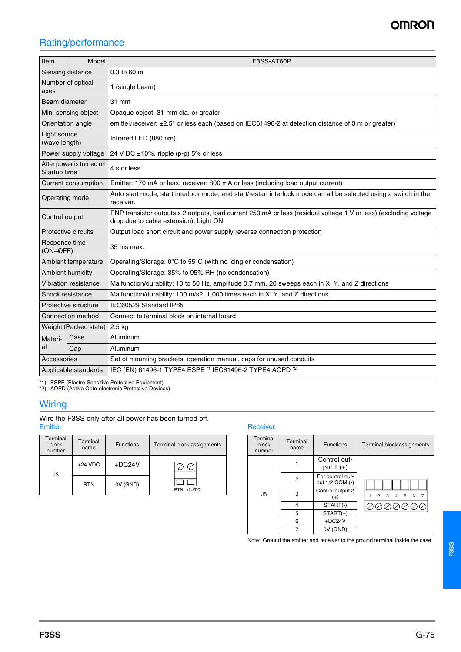## **OMRON**

## Rating/performance

| Item                                                                   | Model | F3SS-AT60P                                                                                                                                                  |  |  |  |  |
|------------------------------------------------------------------------|-------|-------------------------------------------------------------------------------------------------------------------------------------------------------------|--|--|--|--|
| Sensing distance                                                       |       | 0.3 to 60 m                                                                                                                                                 |  |  |  |  |
| Number of optical<br>axes                                              |       | 1 (single beam)                                                                                                                                             |  |  |  |  |
| Beam diameter                                                          |       | 31 mm                                                                                                                                                       |  |  |  |  |
| Min. sensing object                                                    |       | Opaque object, 31-mm dia. or greater                                                                                                                        |  |  |  |  |
| Orientation angle                                                      |       | emitter/receiver: ±2.5° or less each (based on IEC61496-2 at detection distance of 3 m or greater)                                                          |  |  |  |  |
| Light source<br>Infrared LED (880 nm)<br>(wave length)                 |       |                                                                                                                                                             |  |  |  |  |
| Power supply voltage                                                   |       | 24 V DC ±10%, ripple (p-p) 5% or less                                                                                                                       |  |  |  |  |
| After power is turned on<br>4 s or less<br>Startup time                |       |                                                                                                                                                             |  |  |  |  |
| Current consumption                                                    |       | Emitter: 170 mA or less, receiver: 800 mA or less (including load output current)                                                                           |  |  |  |  |
| Operating mode                                                         |       | Auto start mode, start interlock mode, and start/restart interlock mode can all be selected using a switch in the<br>receiver.                              |  |  |  |  |
| Control output                                                         |       | PNP transistor outputs x 2 outputs, load current 250 mA or less (residual voltage 1 V or less) (excluding voltage<br>drop due to cable extension), Light ON |  |  |  |  |
| Protective circuits                                                    |       | Output load short circuit and power supply reverse connection protection                                                                                    |  |  |  |  |
| Response time<br>(ON-OFF)                                              |       | 35 ms max.                                                                                                                                                  |  |  |  |  |
| Ambient temperature                                                    |       | Operating/Storage: 0°C to 55°C (with no icing or condensation)                                                                                              |  |  |  |  |
| Ambient humidity<br>Operating/Storage: 35% to 95% RH (no condensation) |       |                                                                                                                                                             |  |  |  |  |
| Vibration resistance                                                   |       | Malfunction/durability: 10 to 50 Hz, amplitude 0.7 mm, 20 sweeps each in X, Y, and Z directions                                                             |  |  |  |  |
| Shock resistance                                                       |       | Malfunction/durability: 100 m/s2, 1,000 times each in X, Y, and Z directions                                                                                |  |  |  |  |
| Protective structure                                                   |       | IEC60529 Standard IP65                                                                                                                                      |  |  |  |  |
| Connection method<br>Connect to terminal block on internal board       |       |                                                                                                                                                             |  |  |  |  |
| Weight (Packed state)<br>2.5 kg                                        |       |                                                                                                                                                             |  |  |  |  |
| Case<br>Materi-                                                        |       | Aluminum                                                                                                                                                    |  |  |  |  |
| al<br>Cap                                                              |       | Aluminum                                                                                                                                                    |  |  |  |  |
| Accessories                                                            |       | Set of mounting brackets, operation manual, caps for unused conduits                                                                                        |  |  |  |  |
| Applicable standards                                                   |       | IEC (EN) 61496-1 TYPE4 ESPE *1 IEC61496-2 TYPE4 AOPD *2                                                                                                     |  |  |  |  |

\*1) ESPE (Electro-Sensitive Protective Equipment) \*2) AOPD (Active Opto-electronic Protective Devices)

### **Wiring**

Wire the F3SS only after all power has been turned off.<br>Emitter

| Terminal<br>block<br>number | Terminal<br>name | <b>Functions</b> | Terminal block assignments |  |
|-----------------------------|------------------|------------------|----------------------------|--|
| JЗ                          | $+24$ VDC        | $+DC24V$         |                            |  |
|                             | <b>RTN</b>       | 0V (GND)         | $RTN + 24VDC$              |  |

#### Receiver

| Terminal<br>block<br>number | Terminal<br>name | <b>Functions</b>                    | Terminal block assignments                                                              |
|-----------------------------|------------------|-------------------------------------|-----------------------------------------------------------------------------------------|
|                             |                  | Control out-<br>put $1 (+)$         |                                                                                         |
|                             | 2                | For control out-<br>put 1/2 COM (-) |                                                                                         |
| J5                          | 3                | Control output 2<br>$(+)$           | $\overline{2}$<br>$\overline{\mathbf{3}}$<br>5<br>$\overline{7}$<br>$\overline{4}$<br>6 |
|                             | 4<br>5           | START(-)                            |                                                                                         |
|                             |                  | $STAT(+)$                           |                                                                                         |
|                             | 6                | $+DC24V$                            |                                                                                         |
|                             | 7                | 0V (GND)                            |                                                                                         |

Note: Ground the emitter and receiver to the ground terminal inside the case.